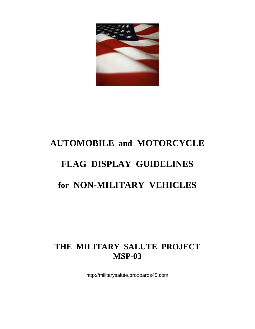

# **AUTOMOBILE and MOTORCYCLE FLAG DISPLAY GUIDELINES for NON-MILITARY VEHICLES**

# **THE MILITARY SALUTE PROJECT MSP-03**

http://militarysalute.proboards45.com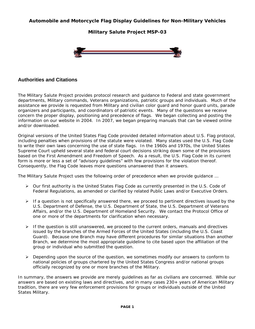**Automobile and Motorcycle Flag Display Guidelines for Non-Military Vehicles**

**Military Salute Project MSP-03**



# **Authorities and Citations**

The *Military Salute Project* provides protocol research and guidance to Federal and state government departments, Military commands, Veterans organizations, patriotic groups and individuals. Much of the assistance we provide is requested from Military and civilian color guard and honor guard units, parade organizers and participants, and coordinators of patriotic events. Many of the questions we receive concern the proper display, positioning and precedence of flags. We began collecting and posting the information on our website in 2004. In 2007, we began preparing manuals that can be viewed online and/or downloaded.

Original versions of the United States Flag Code provided detailed information about U.S. Flag protocol, including penalties when provisions of the statute were violated. Many states used the U.S. Flag Code to write their own laws concerning the use of state flags. In the 1960s and 1970s, the United States Supreme Court upheld several state and federal court decisions striking down some of the provisions based on the First Amendment and Freedom of Speech. As a result, the U.S. Flag Code in its current form is more or less a set of "advisory guidelines" with few provisions for the violation thereof. Consequently, the Flag Code leaves more questions unanswered than it answers.

The *Military Salute Project* uses the following order of precedence when we provide guidance …

- ¾ Our first authority is the United States Flag Code as currently presented in the U.S. Code of Federal Regulations, as amended or clarified by related Public Laws and/or Executive Orders.
- $\triangleright$  If a question is not specifically answered there, we proceed to pertinent directives issued by the U.S. Department of Defense, the U.S. Department of State, the U.S. Department of Veterans Affairs, and/or the U.S. Department of Homeland Security. We contact the Protocol Office of one or more of the departments for clarification when necessary.
- $\triangleright$  If the question is still unanswered, we proceed to the current orders, manuals and directives issued by the branches of the Armed Forces of the United States (including the U.S. Coast Guard). Because one Branch may have different procedures for similar situations than another Branch, we determine the most appropriate guideline to cite based upon the affiliation of the group or individual who submitted the question.
- $\triangleright$  Depending upon the source of the question, we sometimes modify our answers to conform to national policies of groups chartered by the United States Congress and/or national groups officially recognized by one or more branches of the Military.

In summary, the answers we provide are merely guidelines as far as civilians are concerned. While our answers are based on existing laws and directives, and in many cases 230+ years of American Military tradition, there are very few enforcement provisions for groups or individuals outside of the United States Military.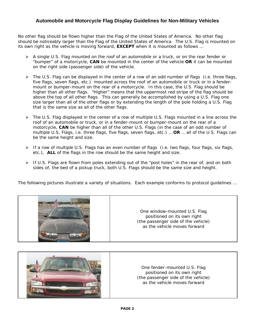# **Automobile and Motorcycle Flag Display Guidelines for Non-Military Vehicles**

No other flag should be flown higher than the Flag of the United States of America. No other flag should be noticeably larger than the Flag of the United States of America. The U.S. Flag is mounted *on its own right as the vehicle is moving forward*, **EXCEPT** when it is mounted as follows …

- $\triangleright$  A single U.S. Flag mounted on the roof of an automobile or a truck, or on the rear fender or "bumper" of a motorcycle, **CAN** be mounted in the center of the vehicle **OR** it can be mounted on the right side (passenger side) of the vehicle.
- $\triangleright$  The U.S. Flag can be displayed in the center of a row of an odd number of flags (i.e. three flags, five flags, seven flags, etc.) mounted across the roof of an automobile or truck or in a fendermount or bumper-mount on the rear of a motorcycle. In this case, the U.S. Flag should be higher than all other flags. "Higher" means that the uppermost red stripe of the flag should be above the top of all other flags. This can generally be accomplished by using a U.S. Flag one size larger than all of the other flags or by extending the length of the pole holding a U.S. Flag that is the same size as all of the other flags.
- ¾ The U.S. Flag displayed in the center of a row of *multiple* U.S. Flags mounted in a line across the roof of an automobile or truck, or in a fender-mount or bumper-mount on the rear of a motorcycle, **CAN** be higher than all of the other U.S. Flags (in the case of an odd number of *multiple* U.S. Flags, i.e. three flags, five flags, seven flags, etc.) … **OR** … all of the U.S. Flags can be the same height and size.
- ¾ If a row of *multiple* U.S. Flags has an even number of flags (i.e. two flags, four flags, six flags, etc.), **ALL** of the flags in the row should be the same height and size.
- $\triangleright$  If U.S. Flags are flown from poles extending out of the "post holes" in the rear of, and on both sides of, the bed of a pickup truck, both U.S. Flags should be the same size and height.

The following pictures illustrate a variety of situations. Each example conforms to protocol guidelines …



One window-mounted U.S. Flag positioned on its own right (the passenger side of the vehicle) as the vehicle moves forward

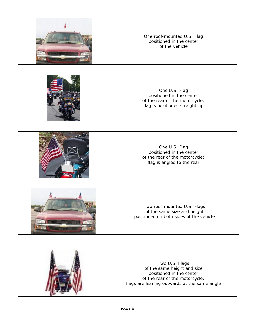

#### One roof-mounted U.S. Flag positioned in the center of the vehicle



One U.S. Flag positioned in the center of the rear of the motorcycle; flag is positioned straight-up





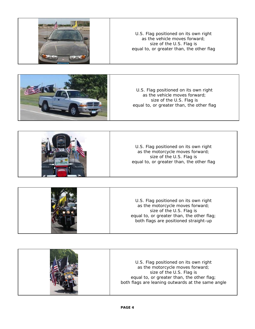



U.S. Flag positioned on its own right as the vehicle moves forward; size of the U.S. Flag is equal to, or greater than, the other flag



|  | U.S. Flag positioned on its own right<br>as the motorcycle moves forward;<br>size of the U.S. Flag is<br>equal to, or greater than, the other flag;<br>both flags are positioned straight-up |
|--|----------------------------------------------------------------------------------------------------------------------------------------------------------------------------------------------|
|--|----------------------------------------------------------------------------------------------------------------------------------------------------------------------------------------------|

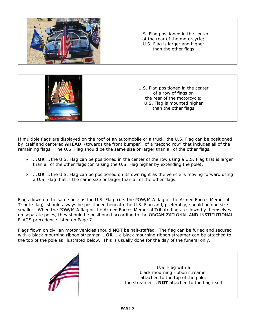

If multiple flags are displayed on the roof of an automobile or a truck, the U.S. Flag can be positioned by itself and centered **AHEAD** (towards the front bumper) of a "second row" that includes all of the remaining flags. The U.S. Flag should be the same size or larger than all of the other flags.

- ¾ … **OR** … the U.S. Flag can be positioned in the center of the row using a U.S. Flag that is larger than all of the other flags (or raising the U.S. Flag higher by extending the pole);
- ¾ … **OR** … the U.S. Flag can be positioned on its own right as the vehicle is moving forward using a U.S. Flag that is the same size or larger than all of the other flags.

Flags flown on the same pole as the U.S. Flag (i.e. the POW/MIA flag or the Armed Forces Memorial Tribute flag) should always be positioned beneath the U.S. Flag and, preferably, should be one size smaller. When the POW/MIA flag or the Armed Forces Memorial Tribute flag are flown by themselves on separate poles, they should be positioned according to the ORGANIZATIONAL AND INSTITUTIONAL FLAGS precedence listed on Page 7.

Flags flown on civilian motor vehicles should **NOT** be half-staffed. The flag can be furled and secured with a black mourning ribbon streamer … **OR** … a black mourning ribbon streamer can be attached to the top of the pole as illustrated below. This is usually done for the day of the funeral only.

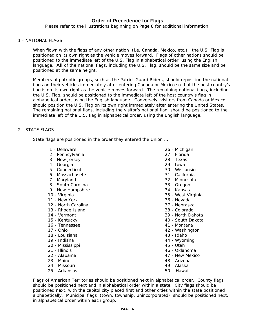### **Order of Precedence for Flags**

*Please refer to the illustrations beginning on Page 8 for additional information.* 

#### 1 - NATIONAL FLAGS

When flown with the flags of any other nation (i.e. Canada, Mexico, etc.), the U.S. Flag is positioned on its own right as the vehicle moves forward. Flags of other nations should be positioned to the immediate left of the U.S. Flag in alphabetical order, using the English language. **All** of the national flags, including the U.S. Flag, should be the same size and be positioned at the same height.

Members of patriotic groups, such as the Patriot Guard Riders, should reposition the national flags on their vehicles immediately after entering Canada or Mexico so that the host country's flag is on its own right as the vehicle moves forward. The remaining national flags, including the U.S. Flag, should be positioned to the immediate left of the host country's flag in alphabetical order, using the English language. Conversely, visitors from Canada or Mexico should position the U.S. Flag on its own right immediately after entering the United States. The remaining national flags, including the visitor's national flag, should be positioned to the immediate left of the U.S. flag in alphabetical order, using the English language.

#### 2 - STATE FLAGS

State flags are positioned in the order they entered the Union …

- 1 Delaware
- 2 Pennsylvania
- 3 New Jersey
- 4 Georgia
- 5 Connecticut
- 6 Massachusetts
- 7 Maryland
- 8 South Carolina
- 9 New Hampshire
- 10 Virginia
- 11 New York
- 12 North Carolina
- 13 Rhode Island
- 14 Vermont
- 15 Kentucky
- 16 Tennessee
- 17 Ohio
- 18 Louisiana
- 19 Indiana
- 20 Mississippi
- 21 Illinois
- 22 Alabama
- 23 Maine
- 24 Missouri
- 25 Arkansas
- 26 Michigan
- 27 Florida
- 28 Texas
- 29 Iowa
- 30 Wisconsin
- 31 California
- 32 Minnesota
- 33 Oregon
- 34 Kansas
- 35 West Virginia
- 36 Nevada
- 37 Nebraska
- 38 Colorado
- 39 North Dakota
- 40 South Dakota
- 41 Montana
- 42 Washington
- 43 Idaho
- 44 Wyoming
- 45 Utah
- 46 Oklahoma
- 47 New Mexico
- 48 Arizona
- 49 Alaska
- 50 Hawaii

Flags of American Territories should be positioned next in alphabetical order. County flags should be positioned next and in alphabetical order within a state. City flags should be positioned next, with the capitol city placed first and other cities within the state positioned alphabetically. Municipal flags (town, township, unincorporated) should be positioned next, in alphabetical order within each group.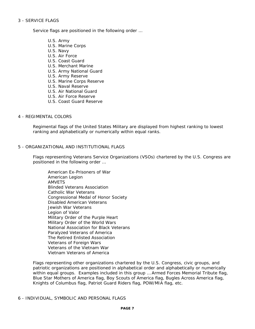#### 3 - SERVICE FLAGS

Service flags are positioned in the following order …

- U.S. Army
- U.S. Marine Corps
- U.S. Navy
- U.S. Air Force
- U.S. Coast Guard
- U.S. Merchant Marine
- U.S. Army National Guard
- U.S. Army Reserve
- U.S. Marine Corps Reserve
- U.S. Naval Reserve
- U.S. Air National Guard
- U.S. Air Force Reserve
- U.S. Coast Guard Reserve

#### 4 - REGIMENTAL COLORS

Regimental flags of the United States Military are displayed from highest ranking to lowest ranking and alphabetically or numerically within equal ranks.

#### 5 - ORGANIZATIONAL AND INSTITUTIONAL FLAGS

Flags representing Veterans Service Organizations (VSOs) chartered by the U.S. Congress are positioned in the following order …

American Ex-Prisoners of War American Legion AMVETS Blinded Veterans Association Catholic War Veterans Congressional Medal of Honor Society Disabled American Veterans Jewish War Veterans Legion of Valor Military Order of the Purple Heart Military Order of the World Wars National Association for Black Veterans Paralyzed Veterans of America The Retired Enlisted Association Veterans of Foreign Wars Veterans of the Vietnam War Vietnam Veterans of America

Flags representing other organizations chartered by the U.S. Congress, civic groups, and patriotic organizations are positioned in alphabetical order and alphabetically or numerically within equal groups. Examples included in this group … Armed Forces Memorial Tribute flag, Blue Star Mothers of America flag, Boy Scouts of America flag, Bugles Across America flag, Knights of Columbus flag, Patriot Guard Riders flag, POW/MIA flag, etc.

#### 6 - INDIVIDUAL, SYMBOLIC AND PERSONAL FLAGS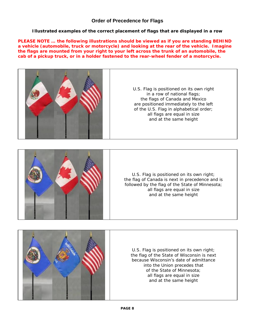# **Order of Precedence for Flags**

**Illustrated examples of the correct placement of flags that are displayed in a row**

**PLEASE NOTE … the following illustrations should be viewed as if you are standing BEHIND a vehicle (automobile, truck or motorcycle) and looking at the rear of the vehicle. Imagine the flags are mounted from your right to your left across the trunk of an automobile, the cab of a pickup truck, or in a holder fastened to the rear-wheel fender of a motorcycle.** 



U.S. Flag is positioned on its own right in a row of national flags; the flags of Canada and Mexico are positioned immediately to the left of the U.S. Flag in alphabetical order; all flags are equal in size and at the same height



U.S. Flag is positioned on its own right; the flag of Canada is next in precedence and is followed by the flag of the State of Minnesota; all flags are equal in size and at the same height



U.S. Flag is positioned on its own right; the flag of the State of Wisconsin is next because Wisconsin's date of admittance into the Union precedes that of the State of Minnesota; all flags are equal in size and at the same height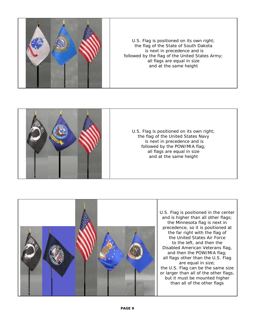

U.S. Flag is positioned on its own right; the flag of the State of South Dakota is next in precedence and is followed by the flag of the United States Army; all flags are equal in size and at the same height



U.S. Flag is positioned on its own right; the flag of the United States Navy is next in precedence and is followed by the POW/MIA flag; all flags are equal in size and at the same height